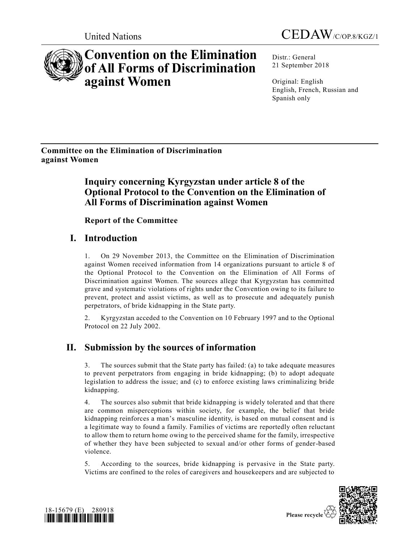



# **Convention on the Elimination of All Forms of Discrimination against Women**

Distr.: General 21 September 2018

Original: English English, French, Russian and Spanish only

**Committee on the Elimination of Discrimination against Women** 

## **Inquiry concerning Kyrgyzstan under article 8 of the Optional Protocol to the Convention on the Elimination of All Forms of Discrimination against Women**

**Report of the Committee**

## **I. Introduction**

1. On 29 November 2013, the Committee on the Elimination of Discrimination against Women received information from 14 organizations pursuant to article 8 of the Optional Protocol to the Convention on the Elimination of All Forms of Discrimination against Women. The sources allege that Kyrgyzstan has committed grave and systematic violations of rights under the Convention owing to its failure to prevent, protect and assist victims, as well as to prosecute and adequately punish perpetrators, of bride kidnapping in the State party.

2. Kyrgyzstan acceded to the Convention on 10 February 1997 and to the Optional Protocol on 22 July 2002.

## **II. Submission by the sources of information**

3. The sources submit that the State party has failed: (a) to take adequate measures to prevent perpetrators from engaging in bride kidnapping; (b) to adopt adequate legislation to address the issue; and (c) to enforce existing laws criminalizing bride kidnapping.

4. The sources also submit that bride kidnapping is widely tolerated and that there are common misperceptions within society, for example, the belief that bride kidnapping reinforces a man's masculine identity, is based on mutual consent and is a legitimate way to found a family. Families of victims are reportedly often reluctant to allow them to return home owing to the perceived shame for the family, irrespective of whether they have been subjected to sexual and/or other forms of gender-based violence.

5. According to the sources, bride kidnapping is pervasive in the State party. Victims are confined to the roles of caregivers and housekeepers and are subjected to



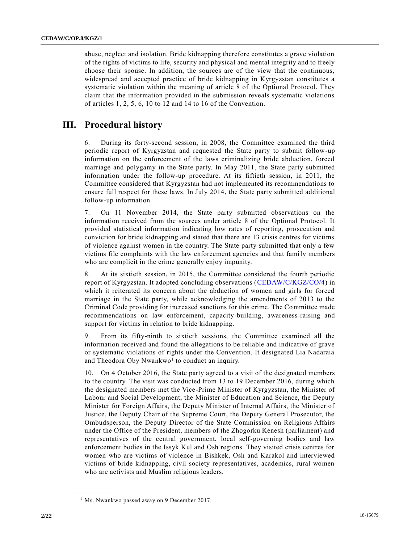abuse, neglect and isolation. Bride kidnapping therefore constitutes a grave violation of the rights of victims to life, security and physical and mental integrity and to freely choose their spouse. In addition, the sources are of the view that the continuous, widespread and accepted practice of bride kidnapping in Kyrgyzstan constitutes a systematic violation within the meaning of article 8 of the Optional Protocol. They claim that the information provided in the submission reveals systematic violations of articles 1, 2, 5, 6, 10 to 12 and 14 to 16 of the Convention.

## **III. Procedural history**

6. During its forty-second session, in 2008, the Committee examined the third periodic report of Kyrgyzstan and requested the State party to submit follow-up information on the enforcement of the laws criminalizing bride abduction, forced marriage and polygamy in the State party. In May 2011, the State party submitted information under the follow-up procedure. At its fiftieth session, in 2011, the Committee considered that Kyrgyzstan had not implemented its recommendations to ensure full respect for these laws. In July 2014, the State party submitted additional follow-up information.

7. On 11 November 2014, the State party submitted observations on the information received from the sources under article 8 of the Optional Protocol. It provided statistical information indicating low rates of reporting, prosecution and conviction for bride kidnapping and stated that there are 13 crisis centres for victims of violence against women in the country. The State party submitted that only a few victims file complaints with the law enforcement agencies and that family members who are complicit in the crime generally enjoy impunity.

8. At its sixtieth session, in 2015, the Committee considered the fourth periodic report of Kyrgyzstan. It adopted concluding observations [\(CEDAW/C/KGZ/CO/4\)](https://undocs.org/CEDAW/C/KGZ/CO/4) in which it reiterated its concern about the abduction of women and girls for forced marriage in the State party, while acknowledging the amendments of 2013 to the Criminal Code providing for increased sanctions for this crime. The Committee made recommendations on law enforcement, capacity-building, awareness-raising and support for victims in relation to bride kidnapping.

9. From its fifty-ninth to sixtieth sessions, the Committee examined all the information received and found the allegations to be reliable and indicative of grave or systematic violations of rights under the Convention. It designated Lia Nadaraia and Theodora Oby Nwankwo<sup>1</sup> to conduct an inquiry.

10. On 4 October 2016, the State party agreed to a visit of the designated members to the country. The visit was conducted from 13 to 19 December 2016, during which the designated members met the Vice-Prime Minister of Kyrgyzstan, the Minister of Labour and Social Development, the Minister of Education and Science, the Deputy Minister for Foreign Affairs, the Deputy Minister of Internal Affairs, the Minister of Justice, the Deputy Chair of the Supreme Court, the Deputy General Prosecutor, the Ombudsperson, the Deputy Director of the State Commission on Religious Affairs under the Office of the President, members of the Zhogorku Kenesh (parliament) and representatives of the central government, local self-governing bodies and law enforcement bodies in the Issyk Kul and Osh regions. They visited crisis centres for women who are victims of violence in Bishkek, Osh and Karakol and interviewed victims of bride kidnapping, civil society representatives, academics, rural women who are activists and Muslim religious leaders.

<sup>&</sup>lt;sup>1</sup> Ms. Nwankwo passed away on 9 December 2017.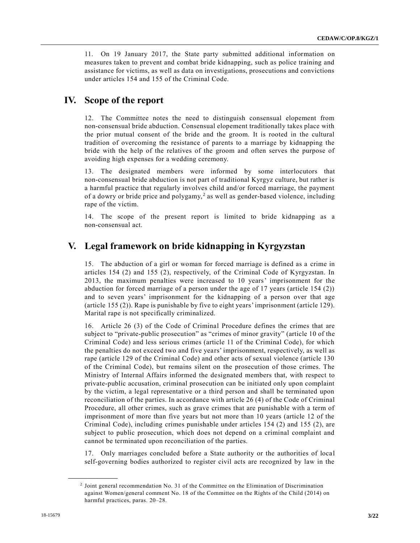11. On 19 January 2017, the State party submitted additional information on measures taken to prevent and combat bride kidnapping, such as police training and assistance for victims, as well as data on investigations, prosecutions and convictions under articles 154 and 155 of the Criminal Code.

## **IV. Scope of the report**

12. The Committee notes the need to distinguish consensual elopement from non-consensual bride abduction. Consensual elopement traditionally takes place with the prior mutual consent of the bride and the groom. It is rooted in the cultural tradition of overcoming the resistance of parents to a marriage by kidnapping the bride with the help of the relatives of the groom and often serves the purpose of avoiding high expenses for a wedding ceremony.

13. The designated members were informed by some interlocutors that non-consensual bride abduction is not part of traditional Kyrgyz culture, but rather is a harmful practice that regularly involves child and/or forced marriage, the payment of a dowry or bride price and polygamy,<sup>2</sup> as well as gender-based violence, including rape of the victim.

14. The scope of the present report is limited to bride kidnapping as a non-consensual act.

## **V. Legal framework on bride kidnapping in Kyrgyzstan**

15. The abduction of a girl or woman for forced marriage is defined as a crime in articles 154 (2) and 155 (2), respectively, of the Criminal Code of Kyrgyzstan. In 2013, the maximum penalties were increased to 10 years' imprisonment for the abduction for forced marriage of a person under the age of 17 years (article 154 (2)) and to seven years' imprisonment for the kidnapping of a person over that age (article 155 (2)). Rape is punishable by five to eight years'imprisonment (article 129). Marital rape is not specifically criminalized.

16. Article 26 (3) of the Code of Criminal Procedure defines the crimes that are subject to "private-public prosecution" as "crimes of minor gravity" (article 10 of the Criminal Code) and less serious crimes (article 11 of the Criminal Code), for which the penalties do not exceed two and five years' imprisonment, respectively, as well as rape (article 129 of the Criminal Code) and other acts of sexual violence (article 130 of the Criminal Code), but remains silent on the prosecution of those crimes. The Ministry of Internal Affairs informed the designated members that, with respect to private-public accusation, criminal prosecution can be initiated only upon complaint by the victim, a legal representative or a third person and shall be terminated upon reconciliation of the parties. In accordance with article 26 (4) of the Code of Criminal Procedure, all other crimes, such as grave crimes that are punishable with a term of imprisonment of more than five years but not more than 10 years (article 12 of the Criminal Code), including crimes punishable under articles 154 (2) and 155 (2), are subject to public prosecution, which does not depend on a criminal complaint and cannot be terminated upon reconciliation of the parties.

17. Only marriages concluded before a State authority or the authorities of loca l self-governing bodies authorized to register civil acts are recognized by law in the

<sup>2</sup> Joint general recommendation No. 31 of the Committee on the Elimination of Discrimination against Women/general comment No. 18 of the Committee on the Rights of the Child (2014) on harmful practices, paras. 20–28.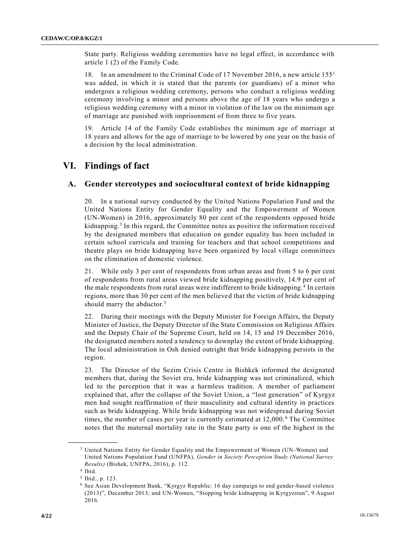State party. Religious wedding ceremonies have no legal effect, in accordance with article 1 (2) of the Family Code.

18. In an amendment to the Criminal Code of 17 November 2016, a new article 155<sup>1</sup> was added, in which it is stated that the parents (or guardians) of a minor who undergoes a religious wedding ceremony, persons who conduct a religious wedding ceremony involving a minor and persons above the age of 18 years who undergo a religious wedding ceremony with a minor in violation of the law on the minimum age of marriage are punished with imprisonment of from three to five years.

19. Article 14 of the Family Code establishes the minimum age of marriage at 18 years and allows for the age of marriage to be lowered by one year on the basis of a decision by the local administration.

## **VI. Findings of fact**

#### **A. Gender stereotypes and sociocultural context of bride kidnapping**

20. In a national survey conducted by the United Nations Population Fund and the United Nations Entity for Gender Equality and the Empowerment of Women (UN-Women) in 2016, approximately 80 per cent of the respondents opposed bride kidnapping.<sup>3</sup> In this regard, the Committee notes as positive the information received by the designated members that education on gender equality has been included in certain school curricula and training for teachers and that school competitions and theatre plays on bride kidnapping have been organized by local village committees on the elimination of domestic violence.

21. While only 3 per cent of respondents from urban areas and from 5 to 6 per cent of respondents from rural areas viewed bride kidnapping positively, 14.9 per cent of the male respondents from rural areas were indifferent to bride kidnapping.<sup>4</sup> In certain regions, more than 30 per cent of the men believed that the victim of bride kidnapping should marry the abductor.<sup>5</sup>

22. During their meetings with the Deputy Minister for Foreign Affairs, the Deputy Minister of Justice, the Deputy Director of the State Commission on Religious Affairs and the Deputy Chair of the Supreme Court, held on 14, 15 and 19 December 2016, the designated members noted a tendency to downplay the extent of bride kidnapping. The local administration in Osh denied outright that bride kidnapping persists in the region.

23. The Director of the Sezim Crisis Centre in Bishkek informed the designated members that, during the Soviet era, bride kidnapping was not criminalized, which led to the perception that it was a harmless tradition. A member of parliament explained that, after the collapse of the Soviet Union, a "lost generation" of Kyrgyz men had sought reaffirmation of their masculinity and cultural identity in practices such as bride kidnapping. While bride kidnapping was not widespread during Soviet times, the number of cases per year is currently estimated at 12,000. <sup>6</sup> The Committee notes that the maternal mortality rate in the State party is one of the highest in the

<sup>3</sup> United Nations Entity for Gender Equality and the Empowerment of Women (UN-Women) and United Nations Population Fund (UNFPA), *Gender in Society Perception Study (National Survey Results)* (Bishek, UNFPA, 2016), p. 112.

<sup>4</sup> Ibid.

<sup>5</sup> Ibid., p. 123.

<sup>6</sup> See Asian Development Bank, "Kyrgyz Republic: 16 day campaign to end gender-based violence (2013)", December 2013; and UN-Women, "Stopping bride kidnapping in Kyrgyzstan", 9 August 2016.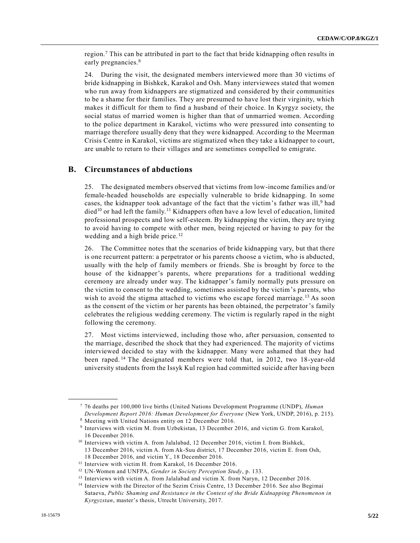region.<sup>7</sup> This can be attributed in part to the fact that bride kidnapping often results in early pregnancies.<sup>8</sup>

24. During the visit, the designated members interviewed more than 30 victims of bride kidnapping in Bishkek, Karakol and Osh. Many interviewees stated that women who run away from kidnappers are stigmatized and considered by their communities to be a shame for their families. They are presumed to have lost their virginity, which makes it difficult for them to find a husband of their choice. In Kyrgyz society, the social status of married women is higher than that of unmarried women. According to the police department in Karakol, victims who were pressured into consenting to marriage therefore usually deny that they were kidnapped. According to the Meerman Crisis Centre in Karakol, victims are stigmatized when they take a kidnapper to court, are unable to return to their villages and are sometimes compelled to emigrate.

### **B. Circumstances of abductions**

25. The designated members observed that victims from low-income families and/or female-headed households are especially vulnerable to bride kidnapping. In some cases, the kidnapper took advantage of the fact that the victim's father was ill,<sup>9</sup> had died<sup>10</sup> or had left the family.<sup>11</sup> Kidnappers often have a low level of education, limited professional prospects and low self-esteem. By kidnapping the victim, they are trying to avoid having to compete with other men, being rejected or having to pay for the wedding and a high bride price.<sup>12</sup>

26. The Committee notes that the scenarios of bride kidnapping vary, but that there is one recurrent pattern: a perpetrator or his parents choose a victim, who is abducted, usually with the help of family members or friends. She is brought by force to the house of the kidnapper's parents, where preparations for a traditional wedding ceremony are already under way. The kidnapper's family normally puts pressure on the victim to consent to the wedding, sometimes assisted by the victim's parents, who wish to avoid the stigma attached to victims who escape forced marriage.<sup>13</sup> As soon as the consent of the victim or her parents has been obtained, the perpetrator's family celebrates the religious wedding ceremony. The victim is regularly raped in the night following the ceremony.

27. Most victims interviewed, including those who, after persuasion, consented to the marriage, described the shock that they had experienced. The majority of victims interviewed decided to stay with the kidnapper. Many were ashamed that they had been raped. <sup>14</sup> The designated members were told that, in 2012, two 18-year-old university students from the Issyk Kul region had committed suicide after having been

<sup>7</sup> 76 deaths per 100,000 live births (United Nations Development Programme (UNDP), *Human Development Report 2016: Human Development for Everyone* (New York, UNDP, 2016), p. 215).

<sup>8</sup> Meeting with United Nations entity on 12 December 2016.

<sup>9</sup> Interviews with victim M. from Uzbekistan, 13 December 2016, and victim G. from Karakol, 16 December 2016.

<sup>&</sup>lt;sup>10</sup> Interviews with victim A. from Jalalabad, 12 December 2016, victim I. from Bishkek, 13 December 2016, victim A. from Ak-Suu district, 17 December 2016, victim E. from Osh, 18 December 2016, and victim Y., 18 December 2016.

<sup>&</sup>lt;sup>11</sup> Interview with victim H. from Karakol, 16 December 2016.

<sup>12</sup> UN-Women and UNFPA, *Gender in Society Perception Study*, p. 133.

<sup>&</sup>lt;sup>13</sup> Interviews with victim A. from Jalalabad and victim X. from Naryn, 12 December 2016.

<sup>&</sup>lt;sup>14</sup> Interview with the Director of the Sezim Crisis Centre, 13 December 2016. See also Begimai Sataeva, *Public Shaming and Resistance in the Context of the Bride Kidnapping Phenomenon in Kyrgyzstan*, master's thesis, Utrecht University, 2017.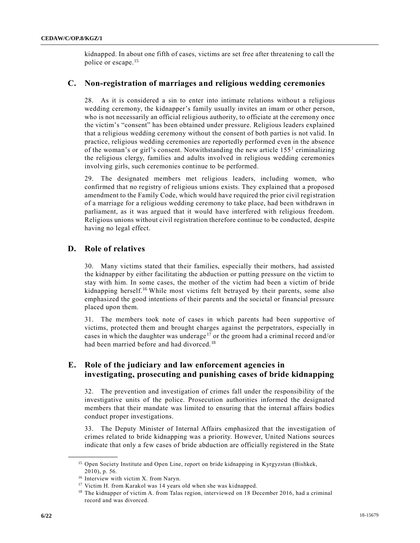kidnapped. In about one fifth of cases, victims are set free after threatening to call the police or escape.<sup>15</sup>

### **C. Non-registration of marriages and religious wedding ceremonies**

28. As it is considered a sin to enter into intimate relations without a religious wedding ceremony, the kidnapper's family usually invites an imam or other person, who is not necessarily an official religious authority, to officiate at the ceremony once the victim's "consent" has been obtained under pressure. Religious leaders explained that a religious wedding ceremony without the consent of both parties is not valid. In practice, religious wedding ceremonies are reportedly performed even in the absence of the woman's or girl's consent. Notwithstanding the new article 155<sup>1</sup> criminalizing the religious clergy, families and adults involved in religious wedding ceremonies involving girls, such ceremonies continue to be performed.

29. The designated members met religious leaders, including women, who confirmed that no registry of religious unions exists. They explained that a proposed amendment to the Family Code, which would have required the prior civil registration of a marriage for a religious wedding ceremony to take place, had been withdrawn in parliament, as it was argued that it would have interfered with religious freedom. Religious unions without civil registration therefore continue to be conducted, despite having no legal effect.

## **D. Role of relatives**

30. Many victims stated that their families, especially their mothers, had assisted the kidnapper by either facilitating the abduction or putting pressure on the victim to stay with him. In some cases, the mother of the victim had been a victim of bride kidnapping herself.<sup>16</sup> While most victims felt betrayed by their parents, some also emphasized the good intentions of their parents and the societal or financial pressure placed upon them.

31. The members took note of cases in which parents had been supportive of victims, protected them and brought charges against the perpetrators, especially in cases in which the daughter was underage<sup>17</sup> or the groom had a criminal record and/or had been married before and had divorced.<sup>18</sup>

### **E. Role of the judiciary and law enforcement agencies in investigating, prosecuting and punishing cases of bride kidnapping**

32. The prevention and investigation of crimes fall under the responsibility of the investigative units of the police. Prosecution authorities informed the designated members that their mandate was limited to ensuring that the internal affairs bodies conduct proper investigations.

33. The Deputy Minister of Internal Affairs emphasized that the investigation of crimes related to bride kidnapping was a priority. However, United Nations sources indicate that only a few cases of bride abduction are officially registered in the State

<sup>&</sup>lt;sup>15</sup> Open Society Institute and Open Line, report on bride kidnapping in Kyrgyzstan (Bishkek, 2010), p. 56.

<sup>16</sup> Interview with victim X. from Naryn.

<sup>&</sup>lt;sup>17</sup> Victim H. from Karakol was 14 years old when she was kidnapped.

<sup>&</sup>lt;sup>18</sup> The kidnapper of victim A. from Talas region, interviewed on 18 December 2016, had a criminal record and was divorced.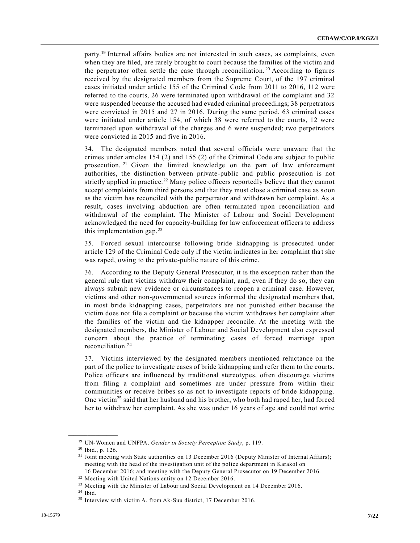party.<sup>19</sup> Internal affairs bodies are not interested in such cases, as complaints, even when they are filed, are rarely brought to court because the families of the victim and the perpetrator often settle the case through reconciliation.<sup>20</sup> According to figures received by the designated members from the Supreme Court, of the 197 criminal cases initiated under article 155 of the Criminal Code from 2011 to 2016, 112 were referred to the courts, 26 were terminated upon withdrawal of the complaint and 32 were suspended because the accused had evaded criminal proceedings; 38 perpetrators were convicted in 2015 and 27 in 2016. During the same period, 63 criminal cases were initiated under article 154, of which 38 were referred to the courts, 12 were terminated upon withdrawal of the charges and 6 were suspended; two perpetrators were convicted in 2015 and five in 2016.

34. The designated members noted that several officials were unaware that the crimes under articles 154 (2) and 155 (2) of the Criminal Code are subject to public prosecution. <sup>21</sup> Given the limited knowledge on the part of law enforcement authorities, the distinction between private-public and public prosecution is not strictly applied in practice.<sup>22</sup> Many police officers reportedly believe that they cannot accept complaints from third persons and that they must close a criminal case as soon as the victim has reconciled with the perpetrator and withdrawn her complaint. As a result, cases involving abduction are often terminated upon reconciliation and withdrawal of the complaint. The Minister of Labour and Social Development acknowledged the need for capacity-building for law enforcement officers to address this implementation gap. $^{23}$ 

35. Forced sexual intercourse following bride kidnapping is prosecuted under article 129 of the Criminal Code only if the victim indicates in her complaint that she was raped, owing to the private-public nature of this crime.

36. According to the Deputy General Prosecutor, it is the exception rather than the general rule that victims withdraw their complaint, and, even if they do so, they can always submit new evidence or circumstances to reopen a criminal case. However, victims and other non-governmental sources informed the designated members that, in most bride kidnapping cases, perpetrators are not punished either because the victim does not file a complaint or because the victim withdraws her complaint after the families of the victim and the kidnapper reconcile. At the meeting with the designated members, the Minister of Labour and Social Development also expressed concern about the practice of terminating cases of forced marriage upon reconciliation. 24

37. Victims interviewed by the designated members mentioned reluctance on the part of the police to investigate cases of bride kidnapping and refer them to the courts. Police officers are influenced by traditional stereotypes, often discourage victims from filing a complaint and sometimes are under pressure from within their communities or receive bribes so as not to investigate reports of bride kidnapping. One victim<sup>25</sup> said that her husband and his brother, who both had raped her, had forced her to withdraw her complaint. As she was under 16 years of age and could not write

<sup>19</sup> UN-Women and UNFPA, *Gender in Society Perception Study*, p. 119.

<sup>20</sup> Ibid., p. 126.

<sup>&</sup>lt;sup>21</sup> Joint meeting with State authorities on 13 December 2016 (Deputy Minister of Internal Affairs); meeting with the head of the investigation unit of the police department in Karakol on 16 December 2016; and meeting with the Deputy General Prosecutor on 19 December 2016.

<sup>22</sup> Meeting with United Nations entity on 12 December 2016.

<sup>&</sup>lt;sup>23</sup> Meeting with the Minister of Labour and Social Development on 14 December 2016.

 $24$  Ibid.

 $25$  Interview with victim A. from Ak-Suu district, 17 December 2016.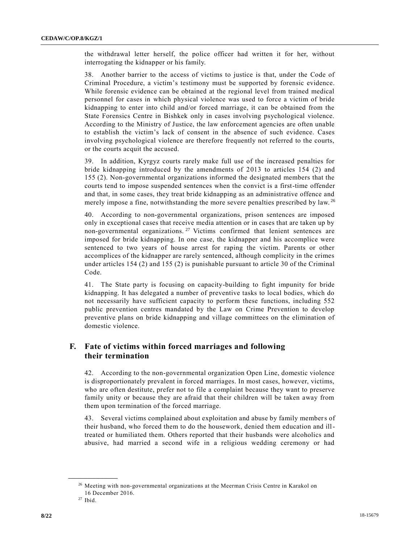the withdrawal letter herself, the police officer had written it for her, without interrogating the kidnapper or his family.

38. Another barrier to the access of victims to justice is that, under the Code of Criminal Procedure, a victim's testimony must be supported by forensic evidence. While forensic evidence can be obtained at the regional level from trained medical personnel for cases in which physical violence was used to force a victim of bride kidnapping to enter into child and/or forced marriage, it can be obtained from the State Forensics Centre in Bishkek only in cases involving psychological violence. According to the Ministry of Justice, the law enforcement agencies are often unable to establish the victim's lack of consent in the absence of such evidence. Cases involving psychological violence are therefore frequently not referred to the courts, or the courts acquit the accused.

39. In addition, Kyrgyz courts rarely make full use of the increased penalties for bride kidnapping introduced by the amendments of 2013 to articles 154 (2) and 155 (2). Non-governmental organizations informed the designated members that the courts tend to impose suspended sentences when the convict is a first-time offender and that, in some cases, they treat bride kidnapping as an administrative offence and merely impose a fine, notwithstanding the more severe penalties prescribed by law. <sup>26</sup>

40. According to non-governmental organizations, prison sentences are imposed only in exceptional cases that receive media attention or in cases that are taken up by non-governmental organizations.<sup>27</sup> Victims confirmed that lenient sentences are imposed for bride kidnapping. In one case, the kidnapper and his accomplice were sentenced to two years of house arrest for raping the victim. Parents or other accomplices of the kidnapper are rarely sentenced, although complicity in the crimes under articles 154 (2) and 155 (2) is punishable pursuant to article 30 of the Criminal Code.

41. The State party is focusing on capacity-building to fight impunity for bride kidnapping. It has delegated a number of preventive tasks to local bodies, which do not necessarily have sufficient capacity to perform these functions, including 552 public prevention centres mandated by the Law on Crime Prevention to develop preventive plans on bride kidnapping and village committees on the elimination of domestic violence.

## **F. Fate of victims within forced marriages and following their termination**

42. According to the non-governmental organization Open Line, domestic violence is disproportionately prevalent in forced marriages. In most cases, however, victims, who are often destitute, prefer not to file a complaint because they want to preserve family unity or because they are afraid that their children will be taken away from them upon termination of the forced marriage.

43. Several victims complained about exploitation and abuse by family members of their husband, who forced them to do the housework, denied them education and illtreated or humiliated them. Others reported that their husbands were alcoholics and abusive, had married a second wife in a religious wedding ceremony or had

<sup>&</sup>lt;sup>26</sup> Meeting with non-governmental organizations at the Meerman Crisis Centre in Karakol on 16 December 2016.

 $27$  Ibid.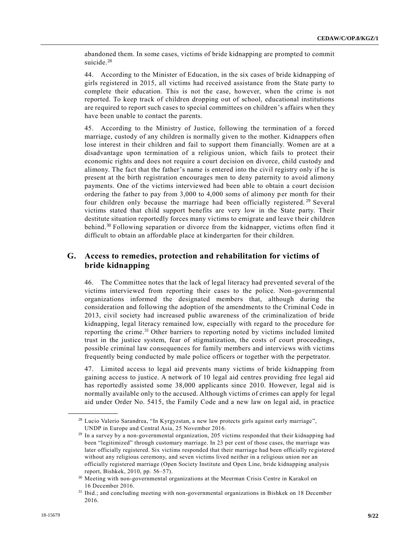abandoned them. In some cases, victims of bride kidnapping are prompted to commit suicide.<sup>28</sup>

44. According to the Minister of Education, in the six cases of bride kidnapping of girls registered in 2015, all victims had received assistance from the State party to complete their education. This is not the case, however, when the crime is not reported. To keep track of children dropping out of school, educational institutions are required to report such cases to special committees on children's affairs when they have been unable to contact the parents.

45. According to the Ministry of Justice, following the termination of a forced marriage, custody of any children is normally given to the mother. Kidnappers often lose interest in their children and fail to support them financially. Women are at a disadvantage upon termination of a religious union, which fails to protect their economic rights and does not require a court decision on divorce, child custody and alimony. The fact that the father's name is entered into the civil registry only if he is present at the birth registration encourages men to deny paternity to avoid alimony payments. One of the victims interviewed had been able to obtain a court decision ordering the father to pay from 3,000 to 4,000 soms of alimony per month for their four children only because the marriage had been officially registered.<sup>29</sup> Several victims stated that child support benefits are very low in the State party. Their destitute situation reportedly forces many victims to emigrate and leave their children behind.<sup>30</sup> Following separation or divorce from the kidnapper, victims often find it difficult to obtain an affordable place at kindergarten for their children.

### **G. Access to remedies, protection and rehabilitation for victims of bride kidnapping**

46. The Committee notes that the lack of legal literacy had prevented several of the victims interviewed from reporting their cases to the police. Non-governmental organizations informed the designated members that, although during the consideration and following the adoption of the amendments to the Criminal Code in 2013, civil society had increased public awareness of the criminalization of bride kidnapping, legal literacy remained low, especially with regard to the procedure for reporting the crime.<sup>31</sup> Other barriers to reporting noted by victims included limited trust in the justice system, fear of stigmatization, the costs of court proceedings, possible criminal law consequences for family members and interviews with victims frequently being conducted by male police officers or together with the perpetrator.

47. Limited access to legal aid prevents many victims of bride kidnapping from gaining access to justice. A network of 10 legal aid centres providing free legal aid has reportedly assisted some 38,000 applicants since 2010. However, legal aid is normally available only to the accused. Although victims of crimes can apply for legal aid under Order No. 5415, the Family Code and a new law on legal aid, in practice

<sup>&</sup>lt;sup>28</sup> Lucio Valerio Sarandrea, "In Kyrgyzstan, a new law protects girls against early marriage", UNDP in Europe and Central Asia, 25 November 2016.

<sup>29</sup> In a survey by a non-governmental organization, 205 victims responded that their kidnapping had been "legitimized" through customary marriage. In 23 per cent of those cases, the marriage was later officially registered. Six victims responded that their marriage had been officially re gistered without any religious ceremony, and seven victims lived neither in a religious union nor an officially registered marriage (Open Society Institute and Open Line, bride kidnapping analysis report, Bishkek, 2010, pp. 56–57).

<sup>30</sup> Meeting with non-governmental organizations at the Meerman Crisis Centre in Karakol on 16 December 2016.

<sup>31</sup> Ibid.; and concluding meeting with non-governmental organizations in Bishkek on 18 December 2016.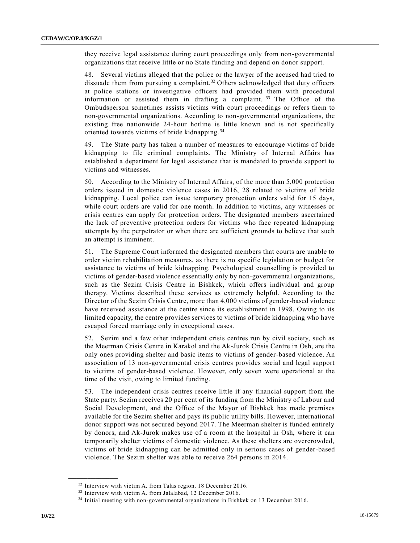they receive legal assistance during court proceedings only from non-governmental organizations that receive little or no State funding and depend on donor support.

48. Several victims alleged that the police or the lawyer of the accused had tried to dissuade them from pursuing a complaint.<sup>32</sup> Others acknowledged that duty officers at police stations or investigative officers had provided them with procedural information or assisted them in drafting a complaint.  $33$  The Office of the Ombudsperson sometimes assists victims with court proceedings or refers them to non-governmental organizations. According to non-governmental organizations, the existing free nationwide 24-hour hotline is little known and is not specifically oriented towards victims of bride kidnapping. <sup>34</sup>

49. The State party has taken a number of measures to encourage victims of bride kidnapping to file criminal complaints. The Ministry of Internal Affairs has established a department for legal assistance that is mandated to provide support to victims and witnesses.

50. According to the Ministry of Internal Affairs, of the more than 5,000 protection orders issued in domestic violence cases in 2016, 28 related to victims of bride kidnapping. Local police can issue temporary protection orders valid for 15 days, while court orders are valid for one month. In addition to victims, any witnesses or crisis centres can apply for protection orders. The designated members ascertained the lack of preventive protection orders for victims who face repeated kidnapping attempts by the perpetrator or when there are sufficient grounds to believe that such an attempt is imminent.

51. The Supreme Court informed the designated members that courts are unable to order victim rehabilitation measures, as there is no specific legislation or budget for assistance to victims of bride kidnapping. Psychological counselling is provided to victims of gender-based violence essentially only by non-governmental organizations, such as the Sezim Crisis Centre in Bishkek, which offers individual and group therapy. Victims described these services as extremely helpful. According to the Director of the Sezim Crisis Centre, more than 4,000 victims of gender-based violence have received assistance at the centre since its establishment in 1998. Owing to its limited capacity, the centre provides services to victims of bride kidnapping who have escaped forced marriage only in exceptional cases.

52. Sezim and a few other independent crisis centres run by civil society, such as the Meerman Crisis Centre in Karakol and the Ak-Jurok Crisis Centre in Osh, are the only ones providing shelter and basic items to victims of gender-based violence. An association of 13 non-governmental crisis centres provides social and legal support to victims of gender-based violence. However, only seven were operational at the time of the visit, owing to limited funding.

53. The independent crisis centres receive little if any financial support from the State party. Sezim receives 20 per cent of its funding from the Ministry of Labour and Social Development, and the Office of the Mayor of Bishkek has made premises available for the Sezim shelter and pays its public utility bills. However, international donor support was not secured beyond 2017. The Meerman shelter is funded entirely by donors, and Ak-Jurok makes use of a room at the hospital in Osh, where it can temporarily shelter victims of domestic violence. As these shelters are overcrowded, victims of bride kidnapping can be admitted only in serious cases of gender-based violence. The Sezim shelter was able to receive 264 persons in 2014.

<sup>&</sup>lt;sup>32</sup> Interview with victim A. from Talas region, 18 December 2016.

<sup>&</sup>lt;sup>33</sup> Interview with victim A. from Jalalabad, 12 December 2016.

<sup>&</sup>lt;sup>34</sup> Initial meeting with non-governmental organizations in Bishkek on 13 December 2016.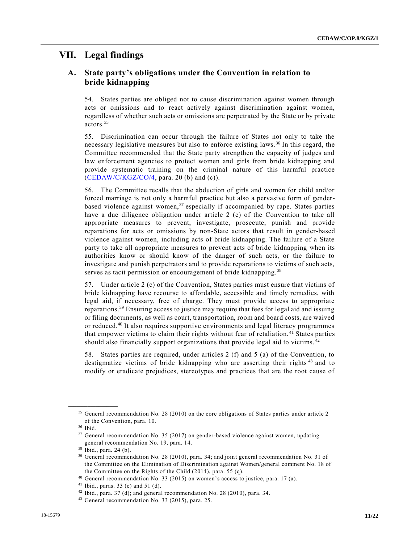## **VII. Legal findings**

## **A. State party's obligations under the Convention in relation to bride kidnapping**

54. States parties are obliged not to cause discrimination against women through acts or omissions and to react actively against discrimination against women, regardless of whether such acts or omissions are perpetrated by the State or by private actors.<sup>35</sup>

55. Discrimination can occur through the failure of States not only to take the necessary legislative measures but also to enforce existing laws. <sup>36</sup> In this regard, the Committee recommended that the State party strengthen the capacity of judges and law enforcement agencies to protect women and girls from bride kidnapping and provide systematic training on the criminal nature of this harmful practice [\(CEDAW/C/KGZ/CO/4,](https://undocs.org/CEDAW/C/KGZ/CO/4) para. 20 (b) and (c)).

56. The Committee recalls that the abduction of girls and women for child and/or forced marriage is not only a harmful practice but also a pervasive form of genderbased violence against women,  $37$  especially if accompanied by rape. States parties have a due diligence obligation under article 2 (e) of the Convention to take all appropriate measures to prevent, investigate, prosecute, punish and provide reparations for acts or omissions by non-State actors that result in gender-based violence against women, including acts of bride kidnapping. The failure of a State party to take all appropriate measures to prevent acts of bride kidnapping when its authorities know or should know of the danger of such acts, or the failure to investigate and punish perpetrators and to provide reparations to victims of such acts, serves as tacit permission or encouragement of bride kidnapping.<sup>38</sup>

57. Under article 2 (c) of the Convention, States parties must ensure that victims of bride kidnapping have recourse to affordable, accessible and timely remedies, with legal aid, if necessary, free of charge. They must provide access to appropriate reparations.<sup>39</sup> Ensuring access to justice may require that fees for legal aid and issuing or filing documents, as well as court, transportation, room and board costs, are waived or reduced.<sup>40</sup> It also requires supportive environments and legal literacy programmes that empower victims to claim their rights without fear of retaliation. <sup>41</sup> States parties should also financially support organizations that provide legal aid to victims. <sup>42</sup>

58. States parties are required, under articles 2 (f) and 5 (a) of the Convention, to destigmatize victims of bride kidnapping who are asserting their rights<sup>43</sup> and to modify or eradicate prejudices, stereotypes and practices that are the root cause of

<sup>&</sup>lt;sup>35</sup> General recommendation No. 28 (2010) on the core obligations of States parties under article 2 of the Convention, para. 10.

<sup>36</sup> Ibid.

<sup>&</sup>lt;sup>37</sup> General recommendation No. 35 (2017) on gender-based violence against women, updating general recommendation No. 19, para. 14.

<sup>38</sup> Ibid., para. 24 (b).

<sup>39</sup> General recommendation No. 28 (2010), para. 34; and joint general recommendation No. 31 of the Committee on the Elimination of Discrimination against Women/general comment No. 18 of the Committee on the Rights of the Child (2014), para. 55 (q).

<sup>40</sup> General recommendation No. 33 (2015) on women's access to justice, para. 17 (a).

<sup>41</sup> Ibid., paras. 33 (c) and 51 (d).

 $42$  Ibid., para. 37 (d); and general recommendation No. 28 (2010), para. 34.

<sup>43</sup> General recommendation No. 33 (2015), para. 25.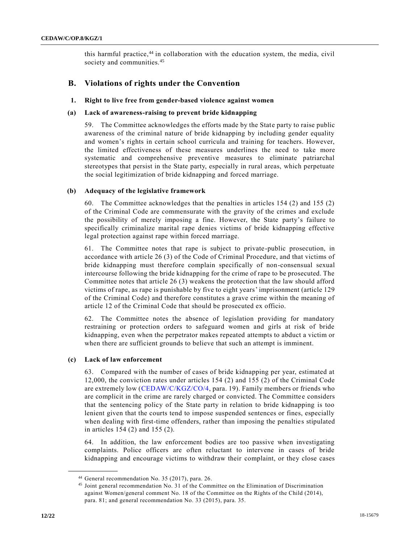this harmful practice, $44$  in collaboration with the education system, the media, civil society and communities.<sup>45</sup>

### **B. Violations of rights under the Convention**

#### **1. Right to live free from gender-based violence against women**

#### **(a) Lack of awareness-raising to prevent bride kidnapping**

59. The Committee acknowledges the efforts made by the State party to raise public awareness of the criminal nature of bride kidnapping by including gender equality and women's rights in certain school curricula and training for teachers. However, the limited effectiveness of these measures underlines the need to take more systematic and comprehensive preventive measures to eliminate patriarchal stereotypes that persist in the State party, especially in rural areas, which perpetuate the social legitimization of bride kidnapping and forced marriage.

#### **(b) Adequacy of the legislative framework**

60. The Committee acknowledges that the penalties in articles 154 (2) and 155 (2) of the Criminal Code are commensurate with the gravity of the crimes and exclude the possibility of merely imposing a fine. However, the State party's failure to specifically criminalize marital rape denies victims of bride kidnapping effective legal protection against rape within forced marriage.

61. The Committee notes that rape is subject to private-public prosecution, in accordance with article 26 (3) of the Code of Criminal Procedure, and that victims of bride kidnapping must therefore complain specifically of non-consensual sexual intercourse following the bride kidnapping for the crime of rape to be prosecuted. The Committee notes that article 26 (3) weakens the protection that the law should afford victims of rape, as rape is punishable by five to eight years' imprisonment (article 129 of the Criminal Code) and therefore constitutes a grave crime within the meaning of article 12 of the Criminal Code that should be prosecuted ex officio.

62. The Committee notes the absence of legislation providing for mandatory restraining or protection orders to safeguard women and girls at risk of bride kidnapping, even when the perpetrator makes repeated attempts to abduct a victim or when there are sufficient grounds to believe that such an attempt is imminent.

#### **(c) Lack of law enforcement**

**\_\_\_\_\_\_\_\_\_\_\_\_\_\_\_\_\_\_**

63. Compared with the number of cases of bride kidnapping per year, estimated at 12,000, the conviction rates under articles 154 (2) and 155 (2) of the Criminal Code are extremely low [\(CEDAW/C/KGZ/CO/4,](https://undocs.org/CEDAW/C/KGZ/CO/4) para. 19). Family members or friends who are complicit in the crime are rarely charged or convicted. The Committee considers that the sentencing policy of the State party in relation to bride kidnapping is too lenient given that the courts tend to impose suspended sentences or fines, especially when dealing with first-time offenders, rather than imposing the penalties stipulated in articles 154 (2) and 155 (2).

64. In addition, the law enforcement bodies are too passive when investigating complaints. Police officers are often reluctant to intervene in cases of bride kidnapping and encourage victims to withdraw their complaint, or they close cases

<sup>44</sup> General recommendation No. 35 (2017), para. 26.

<sup>45</sup> Joint general recommendation No. 31 of the Committee on the Elimination of Discrimination against Women/general comment No. 18 of the Committee on the Rights of the Child (2014), para. 81; and general recommendation No. 33 (2015), para. 35.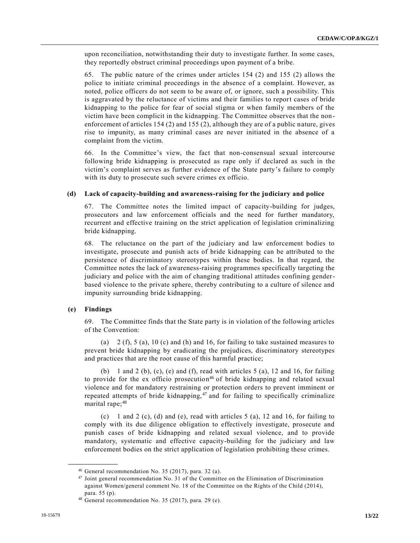upon reconciliation, notwithstanding their duty to investigate further. In some cases, they reportedly obstruct criminal proceedings upon payment of a bribe.

65. The public nature of the crimes under articles 154 (2) and 155 (2) allows the police to initiate criminal proceedings in the absence of a complaint. However, as noted, police officers do not seem to be aware of, or ignore, such a possibility. This is aggravated by the reluctance of victims and their families to report cases of bride kidnapping to the police for fear of social stigma or when family members of the victim have been complicit in the kidnapping. The Committee observes that the non enforcement of articles 154 (2) and 155 (2), although they are of a public nature, gives rise to impunity, as many criminal cases are never initiated in the absence of a complaint from the victim.

66. In the Committee's view, the fact that non-consensual sexual intercourse following bride kidnapping is prosecuted as rape only if declared as such in the victim's complaint serves as further evidence of the State party's failure to comply with its duty to prosecute such severe crimes ex officio.

#### **(d) Lack of capacity-building and awareness-raising for the judiciary and police**

67. The Committee notes the limited impact of capacity-building for judges, prosecutors and law enforcement officials and the need for further mandatory, recurrent and effective training on the strict application of legislation criminalizing bride kidnapping.

68. The reluctance on the part of the judiciary and law enforcement bodies to investigate, prosecute and punish acts of bride kidnapping can be attributed to the persistence of discriminatory stereotypes within these bodies. In that regard, the Committee notes the lack of awareness-raising programmes specifically targeting the judiciary and police with the aim of changing traditional attitudes confining genderbased violence to the private sphere, thereby contributing to a culture of silence and impunity surrounding bride kidnapping.

#### **(e) Findings**

**\_\_\_\_\_\_\_\_\_\_\_\_\_\_\_\_\_\_**

69. The Committee finds that the State party is in violation of the following articles of the Convention:

(a)  $2(f)$ ,  $5$  (a),  $10$  (c) and (h) and 16, for failing to take sustained measures to prevent bride kidnapping by eradicating the prejudices, discriminatory stereotypes and practices that are the root cause of this harmful practice;

(b) 1 and 2 (b), (c), (e) and (f), read with articles 5 (a), 12 and 16, for failing to provide for the ex officio prosecution<sup>46</sup> of bride kidnapping and related sexual violence and for mandatory restraining or protection orders to prevent imminent or repeated attempts of bride kidnapping,  $47$  and for failing to specifically criminalize marital rape;<sup>48</sup>

(c) 1 and 2 (c), (d) and (e), read with articles  $5$  (a), 12 and 16, for failing to comply with its due diligence obligation to effectively investigate, prosecute and punish cases of bride kidnapping and related sexual violence, and to provide mandatory, systematic and effective capacity-building for the judiciary and law enforcement bodies on the strict application of legislation prohibiting these crimes.

<sup>46</sup> General recommendation No. 35 (2017), para. 32 (a).

<sup>47</sup> Joint general recommendation No. 31 of the Committee on the Elimination of Discrimination against Women/general comment No. 18 of the Committee on the Rights of the Child (2014), para. 55 (p).

<sup>48</sup> General recommendation No. 35 (2017), para. 29 (e).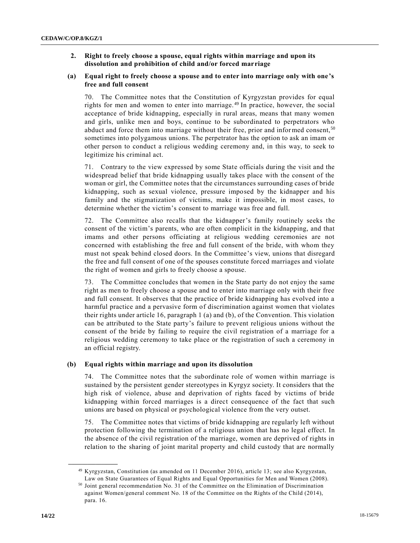#### **2. Right to freely choose a spouse, equal rights within marriage and upon its dissolution and prohibition of child and/or forced marriage**

#### **(a) Equal right to freely choose a spouse and to enter into marriage only with one's free and full consent**

70. The Committee notes that the Constitution of Kyrgyzstan provides for equal rights for men and women to enter into marriage. <sup>49</sup> In practice, however, the social acceptance of bride kidnapping, especially in rural areas, means that many women and girls, unlike men and boys, continue to be subordinated to perpetrators who abduct and force them into marriage without their free, prior and informed consent,  $50$ sometimes into polygamous unions. The perpetrator has the option to ask an imam or other person to conduct a religious wedding ceremony and, in this way, to seek to legitimize his criminal act.

71. Contrary to the view expressed by some State officials during the visit and the widespread belief that bride kidnapping usually takes place with the consent of the woman or girl, the Committee notes that the circumstances surrounding cases of bride kidnapping, such as sexual violence, pressure imposed by the kidnapper and his family and the stigmatization of victims, make it impossible, in most cases, to determine whether the victim's consent to marriage was free and full.

72. The Committee also recalls that the kidnapper's family routinely seeks the consent of the victim's parents, who are often complicit in the kidnapping, and that imams and other persons officiating at religious wedding ceremonies are not concerned with establishing the free and full consent of the bride, with whom they must not speak behind closed doors. In the Committee's view, unions that disregard the free and full consent of one of the spouses constitute forced marriages and violate the right of women and girls to freely choose a spouse.

73. The Committee concludes that women in the State party do not enjoy the same right as men to freely choose a spouse and to enter into marriage only with their free and full consent. It observes that the practice of bride kidnapping has evolved into a harmful practice and a pervasive form of discrimination against women that violates their rights under article 16, paragraph 1 (a) and (b), of the Convention. This violation can be attributed to the State party's failure to prevent religious unions without the consent of the bride by failing to require the civil registration of a marriage for a religious wedding ceremony to take place or the registration of such a ceremony in an official registry.

#### **(b) Equal rights within marriage and upon its dissolution**

74. The Committee notes that the subordinate role of women within marriage is sustained by the persistent gender stereotypes in Kyrgyz society. It considers that the high risk of violence, abuse and deprivation of rights faced by victims of bride kidnapping within forced marriages is a direct consequence of the fact that such unions are based on physical or psychological violence from the very outset.

75. The Committee notes that victims of bride kidnapping are regularly left without protection following the termination of a religious union that has no legal effect. In the absence of the civil registration of the marriage, women are deprived of rights in relation to the sharing of joint marital property and child custody that are normally

<sup>49</sup> Kyrgyzstan, Constitution (as amended on 11 December 2016), article 13; see also Kyrgyzstan, Law on State Guarantees of Equal Rights and Equal Opportunities for Men and Women (2008).

<sup>50</sup> Joint general recommendation No. 31 of the Committee on the Elimination of Discrimination against Women/general comment No. 18 of the Committee on the Rights of the Child (2014), para. 16.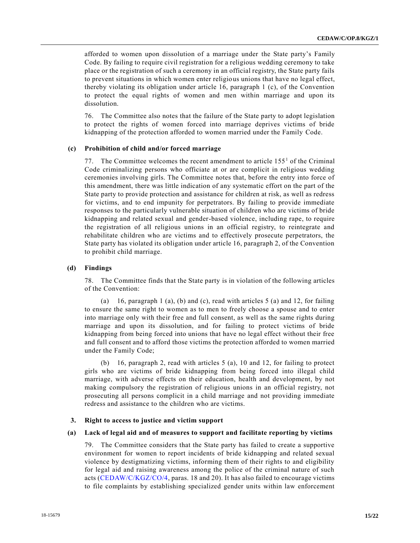afforded to women upon dissolution of a marriage under the State party's Family Code. By failing to require civil registration for a religious wedding ceremony to take place or the registration of such a ceremony in an official registry, the State party fails to prevent situations in which women enter religious unions that have no legal effect, thereby violating its obligation under article 16, paragraph 1 (c), of the Convention to protect the equal rights of women and men within marriage and upon its dissolution.

76. The Committee also notes that the failure of the State party to adopt legislation to protect the rights of women forced into marriage deprives victims of bride kidnapping of the protection afforded to women married under the Family Code.

#### **(c) Prohibition of child and/or forced marriage**

77. The Committee welcomes the recent amendment to article  $155<sup>1</sup>$  of the Criminal Code criminalizing persons who officiate at or are complicit in religious wedding ceremonies involving girls. The Committee notes that, before the entry into force of this amendment, there was little indication of any systematic effort on the part of the State party to provide protection and assistance for children at risk, as well as redress for victims, and to end impunity for perpetrators. By failing to provide immediate responses to the particularly vulnerable situation of children who are victims of bride kidnapping and related sexual and gender-based violence, including rape, to require the registration of all religious unions in an official registry, to reintegrate and rehabilitate children who are victims and to effectively prosecute perpetrators, the State party has violated its obligation under article 16, paragraph 2, of the Convention to prohibit child marriage.

#### **(d) Findings**

78. The Committee finds that the State party is in violation of the following articles of the Convention:

(a) 16, paragraph 1 (a), (b) and (c), read with articles  $5$  (a) and 12, for failing to ensure the same right to women as to men to freely choose a spouse and to enter into marriage only with their free and full consent, as well as the same rights during marriage and upon its dissolution, and for failing to protect victims of bride kidnapping from being forced into unions that have no legal effect without their free and full consent and to afford those victims the protection afforded to women married under the Family Code;

(b) 16, paragraph 2, read with articles 5 (a), 10 and 12, for failing to protect girls who are victims of bride kidnapping from being forced into illegal child marriage, with adverse effects on their education, health and development, by not making compulsory the registration of religious unions in an official registry, not prosecuting all persons complicit in a child marriage and not providing immediate redress and assistance to the children who are victims.

#### **3. Right to access to justice and victim support**

#### **(a) Lack of legal aid and of measures to support and facilitate reporting by victims**

79. The Committee considers that the State party has failed to create a supportive environment for women to report incidents of bride kidnapping and related sexual violence by destigmatizing victims, informing them of their rights to and eligibility for legal aid and raising awareness among the police of the criminal nature of such acts [\(CEDAW/C/KGZ/CO/4,](https://undocs.org/CEDAW/C/KGZ/CO/4) paras. 18 and 20). It has also failed to encourage victims to file complaints by establishing specialized gender units within law enforcement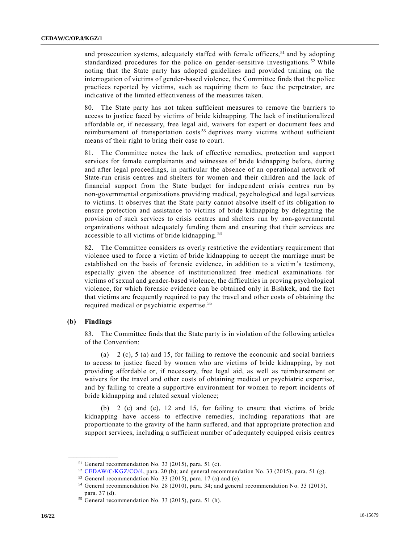and prosecution systems, adequately staffed with female officers,<sup>51</sup> and by adopting standardized procedures for the police on gender-sensitive investigations.<sup>52</sup> While noting that the State party has adopted guidelines and provided training on the interrogation of victims of gender-based violence, the Committee finds that the police practices reported by victims, such as requiring them to face the perpetrator, are indicative of the limited effectiveness of the measures taken.

80. The State party has not taken sufficient measures to remove the barriers to access to justice faced by victims of bride kidnapping. The lack of institutionalized affordable or, if necessary, free legal aid, waivers for expert or document fees and reimbursement of transportation costs<sup>53</sup> deprives many victims without sufficient means of their right to bring their case to court.

81. The Committee notes the lack of effective remedies, protection and support services for female complainants and witnesses of bride kidnapping before, during and after legal proceedings, in particular the absence of an operational network of State-run crisis centres and shelters for women and their children and the lack of financial support from the State budget for independent crisis centres run by non-governmental organizations providing medical, psychological and legal services to victims. It observes that the State party cannot absolve itself of its obligation to ensure protection and assistance to victims of bride kidnapping by delegating the provision of such services to crisis centres and shelters run by non-governmental organizations without adequately funding them and ensuring that their services are accessible to all victims of bride kidnapping. <sup>54</sup>

82. The Committee considers as overly restrictive the evidentiary requirement that violence used to force a victim of bride kidnapping to accept the marriage must be established on the basis of forensic evidence, in addition to a victim's testimony, especially given the absence of institutionalized free medical examinations for victims of sexual and gender-based violence, the difficulties in proving psychological violence, for which forensic evidence can be obtained only in Bishkek, and the fact that victims are frequently required to pay the travel and other costs of obtaining the required medical or psychiatric expertise.<sup>55</sup>

#### **(b) Findings**

**\_\_\_\_\_\_\_\_\_\_\_\_\_\_\_\_\_\_**

83. The Committee finds that the State party is in violation of the following articles of the Convention:

(a) 2 (c), 5 (a) and 15, for failing to remove the economic and social barriers to access to justice faced by women who are victims of bride kidnapping, by not providing affordable or, if necessary, free legal aid, as well as reimbursement or waivers for the travel and other costs of obtaining medical or psychiatric expertise, and by failing to create a supportive environment for women to report incidents of bride kidnapping and related sexual violence;

(b) 2 (c) and (e), 12 and 15, for failing to ensure that victims of bride kidnapping have access to effective remedies, including reparations that are proportionate to the gravity of the harm suffered, and that appropriate protection and support services, including a sufficient number of adequately equipped crisis centres

<sup>51</sup> General recommendation No. 33 (2015), para. 51 (c).

<sup>52</sup> [CEDAW/C/KGZ/CO/4,](https://undocs.org/CEDAW/C/KGZ/CO/4) para. 20 (b); and general recommendation No. 33 (2015), para. 51 (g).

<sup>53</sup> General recommendation No. 33 (2015), para. 17 (a) and (e).

<sup>54</sup> General recommendation No. 28 (2010), para. 34; and general recommendation No. 33 (2015), para. 37 (d).

<sup>55</sup> General recommendation No. 33 (2015), para. 51 (h).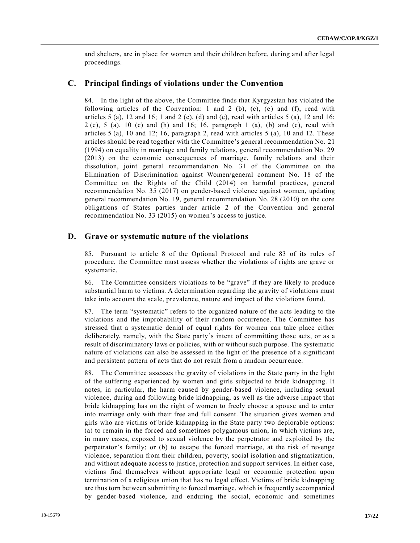and shelters, are in place for women and their children before, during and after legal proceedings.

#### **C. Principal findings of violations under the Convention**

84. In the light of the above, the Committee finds that Kyrgyzstan has violated the following articles of the Convention: 1 and 2 (b), (c), (e) and (f), read with articles  $5$  (a),  $12$  and  $16$ ;  $1$  and  $2$  (c), (d) and (e), read with articles  $5$  (a),  $12$  and  $16$ ;  $2$  (e),  $5$  (a),  $10$  (c) and (h) and  $16$ ;  $16$ , paragraph  $1$  (a), (b) and (c), read with articles 5 (a), 10 and 12; 16, paragraph 2, read with articles 5 (a), 10 and 12. These articles should be read together with the Committee's general recommendation No. 21 (1994) on equality in marriage and family relations, general recommendation No. 29 (2013) on the economic consequences of marriage, family relations and their dissolution, joint general recommendation No. 31 of the Committee on the Elimination of Discrimination against Women/general comment No. 18 of the Committee on the Rights of the Child (2014) on harmful practices, general recommendation No. 35 (2017) on gender-based violence against women, updating general recommendation No. 19, general recommendation No. 28 (2010) on the core obligations of States parties under article 2 of the Convention and general recommendation No. 33 (2015) on women's access to justice.

#### **D. Grave or systematic nature of the violations**

85. Pursuant to article 8 of the Optional Protocol and rule 83 of its rules of procedure, the Committee must assess whether the violations of rights are grave or systematic.

86. The Committee considers violations to be "grave" if they are likely to produce substantial harm to victims. A determination regarding the gravity of violations must take into account the scale, prevalence, nature and impact of the violations found.

87. The term "systematic" refers to the organized nature of the acts leading to the violations and the improbability of their random occurrence. The Committee has stressed that a systematic denial of equal rights for women can take place either deliberately, namely, with the State party's intent of committing those acts, or as a result of discriminatory laws or policies, with or without such purpose. The systematic nature of violations can also be assessed in the light of the presence of a significant and persistent pattern of acts that do not result from a random occurrence.

88. The Committee assesses the gravity of violations in the State party in the light of the suffering experienced by women and girls subjected to bride kidnapping. It notes, in particular, the harm caused by gender-based violence, including sexual violence, during and following bride kidnapping, as well as the adverse impact that bride kidnapping has on the right of women to freely choose a spouse and to enter into marriage only with their free and full consent. The situation gives women and girls who are victims of bride kidnapping in the State party two deplorable options: (a) to remain in the forced and sometimes polygamous union, in which victims are, in many cases, exposed to sexual violence by the perpetrator and exploited by the perpetrator's family; or (b) to escape the forced marriage, at the risk of revenge violence, separation from their children, poverty, social isolation and stigmatization, and without adequate access to justice, protection and support services. In either case, victims find themselves without appropriate legal or economic protection upon termination of a religious union that has no legal effect. Victims of bride kidnapping are thus torn between submitting to forced marriage, which is frequently accompanied by gender-based violence, and enduring the social, economic and sometimes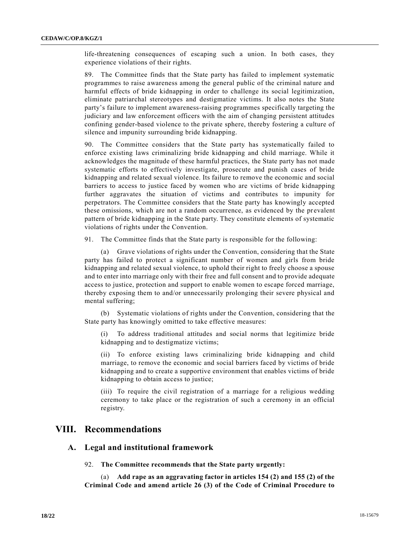life-threatening consequences of escaping such a union. In both cases, they experience violations of their rights.

89. The Committee finds that the State party has failed to implement systematic programmes to raise awareness among the general public of the criminal nature and harmful effects of bride kidnapping in order to challenge its social legitimization, eliminate patriarchal stereotypes and destigmatize victims. It also notes the State party's failure to implement awareness-raising programmes specifically targeting the judiciary and law enforcement officers with the aim of changing persistent attitudes confining gender-based violence to the private sphere, thereby fostering a culture of silence and impunity surrounding bride kidnapping.

90. The Committee considers that the State party has systematically failed to enforce existing laws criminalizing bride kidnapping and child marriage. While it acknowledges the magnitude of these harmful practices, the State party has not made systematic efforts to effectively investigate, prosecute and punish cases of bride kidnapping and related sexual violence. Its failure to remove the economic and social barriers to access to justice faced by women who are victims of bride kidnapping further aggravates the situation of victims and contributes to impunity for perpetrators. The Committee considers that the State party has knowingly accepted these omissions, which are not a random occurrence, as evidenced by the prevalent pattern of bride kidnapping in the State party. They constitute elements of systematic violations of rights under the Convention.

91. The Committee finds that the State party is responsible for the following:

(a) Grave violations of rights under the Convention, considering that the State party has failed to protect a significant number of women and girls from bride kidnapping and related sexual violence, to uphold their right to freely choose a spouse and to enter into marriage only with their free and full consent and to provide adequate access to justice, protection and support to enable women to escape forced marriage, thereby exposing them to and/or unnecessarily prolonging their severe physical and mental suffering;

(b) Systematic violations of rights under the Convention, considering that the State party has knowingly omitted to take effective measures:

(i) To address traditional attitudes and social norms that legitimize bride kidnapping and to destigmatize victims;

(ii) To enforce existing laws criminalizing bride kidnapping and child marriage, to remove the economic and social barriers faced by victims of bride kidnapping and to create a supportive environment that enables victims of bride kidnapping to obtain access to justice;

(iii) To require the civil registration of a marriage for a religious wedding ceremony to take place or the registration of such a ceremony in an official registry.

## **VIII. Recommendations**

#### **A. Legal and institutional framework**

92. **The Committee recommends that the State party urgently:** 

(a) **Add rape as an aggravating factor in articles 154 (2) and 155 (2) of the Criminal Code and amend article 26 (3) of the Code of Criminal Procedure to**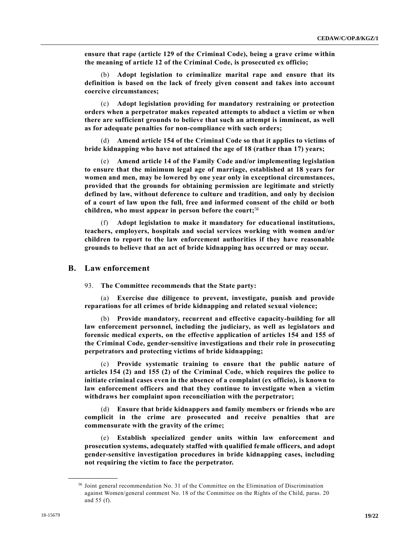**ensure that rape (article 129 of the Criminal Code), being a grave crime within the meaning of article 12 of the Criminal Code, is prosecuted ex officio;**

(b) **Adopt legislation to criminalize marital rape and ensure that its definition is based on the lack of freely given consent and takes into account coercive circumstances;**

(c) **Adopt legislation providing for mandatory restraining or protection orders when a perpetrator makes repeated attempts to abduct a victim or when there are sufficient grounds to believe that such an attempt is imminent, as well as for adequate penalties for non-compliance with such orders;**

(d) **Amend article 154 of the Criminal Code so that it applies to victims of bride kidnapping who have not attained the age of 18 (rather than 17) years;**

(e) **Amend article 14 of the Family Code and/or implementing legislation to ensure that the minimum legal age of marriage, established at 18 years for women and men, may be lowered by one year only in exceptional circumstances, provided that the grounds for obtaining permission are legitimate and strictly defined by law, without deference to culture and tradition, and only by decision of a court of law upon the full, free and informed consent of the child or both children, who must appear in person before the court;**<sup>56</sup>

(f) **Adopt legislation to make it mandatory for educational institutions, teachers, employers, hospitals and social services working with women and/or children to report to the law enforcement authorities if they have reasonable grounds to believe that an act of bride kidnapping has occurred or may occur.**

#### **B. Law enforcement**

93. **The Committee recommends that the State party:**

(a) **Exercise due diligence to prevent, investigate, punish and provide reparations for all crimes of bride kidnapping and related sexual violence;**

(b) **Provide mandatory, recurrent and effective capacity-building for all law enforcement personnel, including the judiciary, as well as legislators and forensic medical experts, on the effective application of articles 154 and 155 of the Criminal Code, gender-sensitive investigations and their role in prosecuting perpetrators and protecting victims of bride kidnapping;**

(c) **Provide systematic training to ensure that the public nature of articles 154 (2) and 155 (2) of the Criminal Code, which requires the police to initiate criminal cases even in the absence of a complaint (ex officio), is known to law enforcement officers and that they continue to investigate when a victim withdraws her complaint upon reconciliation with the perpetrator;**

(d) **Ensure that bride kidnappers and family members or friends who are complicit in the crime are prosecuted and receive penalties that are commensurate with the gravity of the crime;**

(e) **Establish specialized gender units within law enforcement and prosecution systems, adequately staffed with qualified female officers, and adopt gender-sensitive investigation procedures in bride kidnapping cases, including not requiring the victim to face the perpetrator.**

<sup>56</sup> Joint general recommendation No. 31 of the Committee on the Elimination of Discrimination against Women/general comment No. 18 of the Committee on the Rights of the Child, paras. 20 and 55 (f).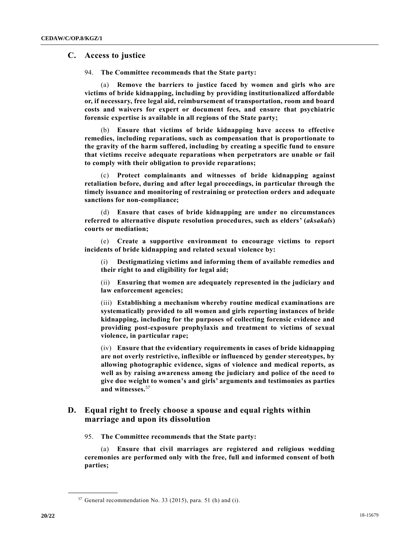#### **C. Access to justice**

94. **The Committee recommends that the State party:**

(a) **Remove the barriers to justice faced by women and girls who are victims of bride kidnapping, including by providing institutionalized affordable or, if necessary, free legal aid, reimbursement of transportation, room and board costs and waivers for expert or document fees, and ensure that psychiatric forensic expertise is available in all regions of the State party;**

(b) **Ensure that victims of bride kidnapping have access to effective remedies, including reparations, such as compensation that is proportionate to the gravity of the harm suffered, including by creating a specific fund to ensure that victims receive adequate reparations when perpetrators are unable or fail to comply with their obligation to provide reparations;**

(c) **Protect complainants and witnesses of bride kidnapping against retaliation before, during and after legal proceedings, in particular through the timely issuance and monitoring of restraining or protection orders and adequate sanctions for non-compliance;**

(d) **Ensure that cases of bride kidnapping are under no circumstances referred to alternative dispute resolution procedures, such as elders' (***aksakals***) courts or mediation;**

(e) **Create a supportive environment to encourage victims to report incidents of bride kidnapping and related sexual violence by:**

(i) **Destigmatizing victims and informing them of available remedies and their right to and eligibility for legal aid;**

(ii) **Ensuring that women are adequately represented in the judiciary and law enforcement agencies;**

(iii) **Establishing a mechanism whereby routine medical examinations are systematically provided to all women and girls reporting instances of bride kidnapping, including for the purposes of collecting forensic evidence and providing post-exposure prophylaxis and treatment to victims of sexual violence, in particular rape;**

(iv) **Ensure that the evidentiary requirements in cases of bride kidnapping are not overly restrictive, inflexible or influenced by gender stereotypes, by allowing photographic evidence, signs of violence and medical reports, as well as by raising awareness among the judiciary and police of the need to give due weight to women's and girls' arguments and testimonies as parties and witnesses.**<sup>57</sup>

### **D. Equal right to freely choose a spouse and equal rights within marriage and upon its dissolution**

95. **The Committee recommends that the State party:**

(a) **Ensure that civil marriages are registered and religious wedding ceremonies are performed only with the free, full and informed consent of both parties;**

 $57$  General recommendation No. 33 (2015), para. 51 (h) and (i).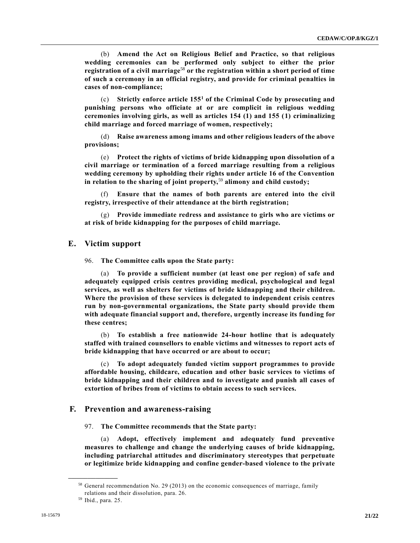(b) **Amend the Act on Religious Belief and Practice, so that religious wedding ceremonies can be performed only subject to either the prior registration of a civil marriage**<sup>58</sup> **or the registration within a short period of time of such a ceremony in an official registry, and provide for criminal penalties in cases of non-compliance;**

(c) **Strictly enforce article 155<sup>1</sup> of the Criminal Code by prosecuting and punishing persons who officiate at or are complicit in religious wedding ceremonies involving girls, as well as articles 154 (1) and 155 (1) criminalizing child marriage and forced marriage of women, respectively;**

(d) **Raise awareness among imams and other religious leaders of the above provisions;**

(e) **Protect the rights of victims of bride kidnapping upon dissolution of a civil marriage or termination of a forced marriage resulting from a religious wedding ceremony by upholding their rights under article 16 of the Convention in relation to the sharing of joint property,**<sup>59</sup> **alimony and child custody;**

(f) **Ensure that the names of both parents are entered into the civil registry, irrespective of their attendance at the birth registration;**

(g) **Provide immediate redress and assistance to girls who are victims or at risk of bride kidnapping for the purposes of child marriage.**

#### **E. Victim support**

96. **The Committee calls upon the State party:**

(a) **To provide a sufficient number (at least one per region) of safe and adequately equipped crisis centres providing medical, psychological and legal services, as well as shelters for victims of bride kidnapping and their children. Where the provision of these services is delegated to independent crisis centres run by non-governmental organizations, the State party should provide them with adequate financial support and, therefore, urgently increase its funding for these centres;**

(b) **To establish a free nationwide 24-hour hotline that is adequately staffed with trained counsellors to enable victims and witnesses to report acts of bride kidnapping that have occurred or are about to occur;**

(c) **To adopt adequately funded victim support programmes to provide affordable housing, childcare, education and other basic services to victims of bride kidnapping and their children and to investigate and punish all cases of extortion of bribes from of victims to obtain access to such services.**

#### **F. Prevention and awareness-raising**

97. **The Committee recommends that the State party:**

(a) **Adopt, effectively implement and adequately fund preventive measures to challenge and change the underlying causes of bride kidnapping, including patriarchal attitudes and discriminatory stereotypes that perpetuate or legitimize bride kidnapping and confine gender-based violence to the private** 

 $58$  General recommendation No. 29 (2013) on the economic consequences of marriage, family relations and their dissolution, para. 26.

<sup>59</sup> Ibid., para. 25.